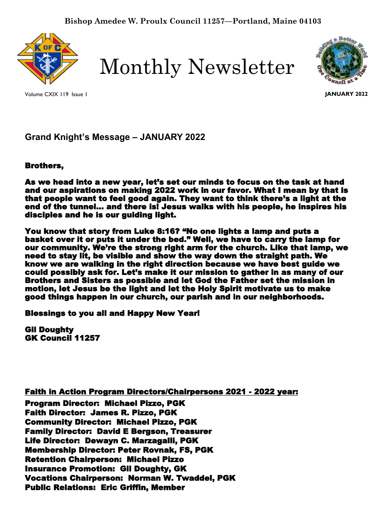

Monthly Newsletter

Volume CXIX 119 Issue 1



**JANUARY 2022**

**Grand Knight's Message – JANUARY 2022**

# Brothers,

As we head into a new year, let's set our minds to focus on the task at hand and our aspirations on making 2022 work in our favor. What I mean by that is that people want to feel good again. They want to think there's a light at the end of the tunnel… and there is! Jesus walks with his people, he inspires his disciples and he is our guiding light.

You know that story from Luke 8:16? "No one lights a lamp and puts a basket over it or puts it under the bed." Well, we have to carry the lamp for our community. We're the strong right arm for the church. Like that lamp, we need to stay lit, be visible and show the way down the straight path. We know we are walking in the right direction because we have best guide we could possibly ask for. Let's make it our mission to gather in as many of our Brothers and Sisters as possible and let God the Father set the mission in motion, let Jesus be the light and let the Holy Spirit motivate us to make good things happen in our church, our parish and in our neighborhoods.

I Blessings to you all and Happy New Year!

Gil Doughty GK Council 11257

Faith in Action Program Directors/Chairpersons 2021 - 2022 year: Program Director: Michael Pizzo, PGK Faith Director: James R. Pizzo, PGK Community Director: Michael Pizzo, PGK Family Director: David E Bergson, Treasurer Life Director: Dewayn C. Marzagalli, PGK Membership Director: Peter Rovnak, FS, PGK Retention Chairperson: Michael Pizzo Insurance Promotion: Gil Doughty, GK Vocations Chairperson: Norman W. Twaddel, PGK Public Relations: Eric Griffin, Member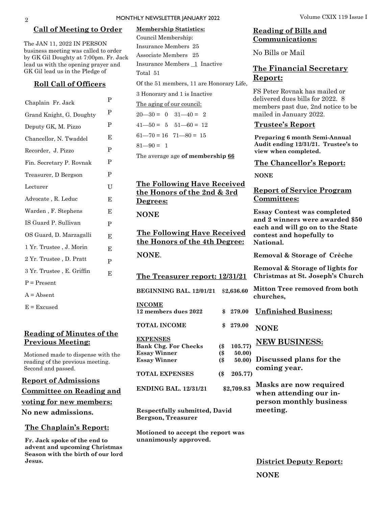#### **Call of Meeting to Order**

The JAN 11, 2022 IN PERSON business meeting was called to order by GK Gil Doughty at 7:00pm. Fr. Jack lead us with the opening prayer and GK Gil lead us in the Pledge of

#### **Roll Call of Officers**

| Chaplain Fr. Jack         | P |
|---------------------------|---|
| Grand Knight, G. Doughty  | P |
| Deputy GK, M. Pizzo       | P |
| Chancellor, N. Twaddel    | E |
| Recorder, J. Pizzo        | P |
| Fin. Secretary P. Rovnak  | P |
| Treasurer, D Bergson      | P |
| Lecturer                  | U |
| Advocate, R. Leduc        | Е |
| Warden, F. Stephens       | Е |
| IS Guard P. Sullivan      | P |
| OS Guard, D. Marzagalli   | E |
| 1 Yr. Trustee, J. Morin   | E |
| 2 Yr. Trustee , D. Pratt  | P |
| 3 Yr. Trustee, E. Griffin | E |
| $P = Present$             |   |
| $A = Absent$              |   |
| $E = Exquest$             |   |

## **Reading of Minutes of the Previous Meeting:**

Motioned made to dispense with the reading of the previous meeting. Second and passed.

**Report of Admissions Committee on Reading and voting for new members: No new admissions.** 

#### **The Chaplain's Report:**

**Fr. Jack spoke of the end to advent and upcoming Christmas Season with the birth of our lord Jesus.** 

# **Membership Statistics:**  Council Membership: Insurance Members 25 Associate Members 25 Insurance Members 1 Inactive Total 51 Of the 51 members, 11 are Honorary Life, 3 Honorary and 1 is Inactive

The aging of our council:

 $20 - 30 = 0$   $31 - 40 = 2$  $41 - 50 = 5$   $51 - 60 = 12$  $61 - 70 = 16$   $71 - 80 = 15$ 

 $81 - 90 = 1$ 

The average age **of membership 66**

## **The Following Have Received the Honors of the 2nd & 3rd Degrees:**

**NONE** 

**The Following Have Received the Honors of the 4th Degree:** 

**NONE**.

**The Treasurer report: 12/31/21**

**BEGINNING BAL. 12/01/21** \$**2,636.60**

**INCOME**

**12 members dues 2022 \$ 279.00**

**TOTAL INCOME \$ 279.00** 

#### **EXPENSES**

**Bank Chg. For Checks (\$ 105.77) Essay Winner (\$ 50.00)** Essay Winner (\$

**TOTAL EXPENSES (\$ 205.77)**

**ENDING BAL. 12/31/21 \$2,709.83**

**Respectfully submitted, David Bergson, Treasurer**

**Motioned to accept the report was unanimously approved.**

## **Reading of Bills and Communications:**

No Bills or Mail

# **The Financial Secretary Report:**

FS Peter Rovnak has mailed or delivered dues bills for 2022. 8 members past due, 2nd notice to be mailed in January 2022.

#### **Trustee's Report**

**Preparing 6 month Semi-Annual Audit ending 12/31/21. Trustee's to view when completed.**

#### **The Chancellor's Report:**

**NONE**

#### **Report of Service Program Committees:**

**Essay Contest was completed and 2 winners were awarded \$50 each and will go on to the State contest and hopefully to National.**

**Removal & Storage of Crèche**

**Removal & Storage of lights for Christmas at St. Joseph's Church**

**Mitton Tree removed from both churches,** 

- **Unfinished Business:**
- **NONE**

# **NEW BUSINESS:**

- 
- **Discussed plans for the coming year.**

**Masks are now required when attending our inperson monthly business meeting.**

**District Deputy Report: NONE**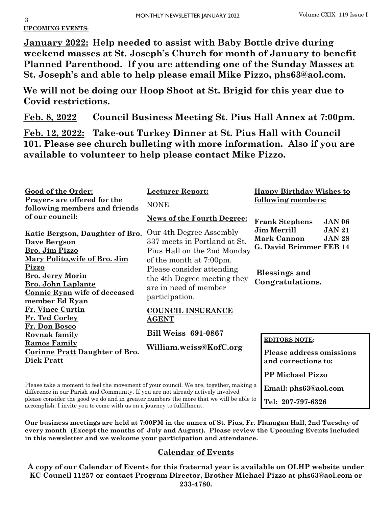3 **UPCOMING EVENTS:**

**January 2022: Help needed to assist with Baby Bottle drive during weekend masses at St. Joseph's Church for month of January to benefit Planned Parenthood. If you are attending one of the Sunday Masses at St. Joseph's and able to help please email Mike Pizzo, phs63@aol.com.**

**We will not be doing our Hoop Shoot at St. Brigid for this year due to Covid restrictions.** 

**Feb. 8, 2022 Council Business Meeting St. Pius Hall Annex at 7:00pm.**

**Feb. 12, 2022: Take-out Turkey Dinner at St. Pius Hall with Council 101. Please see church bulleting with more information. Also if you are available to volunteer to help please contact Mike Pizzo.** 

| <b>Good of the Order:</b><br>Prayers are offered for the<br>following members and friends<br>of our council:                                                              | <b>Lecturer Report:</b><br><b>NONE</b>                                                                                                         | <b>Happy Birthday Wishes to</b><br><u>following members:</u>                                          |  |
|---------------------------------------------------------------------------------------------------------------------------------------------------------------------------|------------------------------------------------------------------------------------------------------------------------------------------------|-------------------------------------------------------------------------------------------------------|--|
|                                                                                                                                                                           | <b>News of the Fourth Degree:</b>                                                                                                              | <b>Frank Stephens</b><br><b>JAN 06</b>                                                                |  |
| Katie Bergson, Daughter of Bro.<br><b>Dave Bergson</b><br>Bro. Jim Pizzo<br>Mary Polito, wife of Bro. Jim<br>Pizzo                                                        | Our 4th Degree Assembly<br>337 meets in Portland at St.<br>Pius Hall on the 2nd Monday<br>of the month at 7:00pm.<br>Please consider attending | <b>Jim Merrill</b><br><b>JAN 21</b><br><b>Mark Cannon</b><br><b>JAN 28</b><br>G. David Brimmer FEB 14 |  |
| <b>Bro. Jerry Morin</b><br><b>Bro. John Laplante</b>                                                                                                                      | the 4th Degree meeting they                                                                                                                    | <b>Blessings and</b><br>Congratulations.                                                              |  |
| <b>Connie Ryan wife of deceased</b><br>member Ed Ryan                                                                                                                     | are in need of member<br>participation.                                                                                                        |                                                                                                       |  |
| Fr. Vince Curtin<br>Fr. Ted Corley                                                                                                                                        | <b>COUNCIL INSURANCE</b><br><b>AGENT</b>                                                                                                       |                                                                                                       |  |
| Fr. Don Bosco<br><b>Rovnak family</b>                                                                                                                                     | <b>Bill Weiss 691-0867</b>                                                                                                                     |                                                                                                       |  |
| <b>Ramos Family</b><br><b>Corinne Pratt Daughter of Bro.</b><br><b>Dick Pratt</b>                                                                                         | William.weiss@KofC.org                                                                                                                         | <b>EDITORS NOTE:</b><br><b>Please address omissions</b><br>and corrections to:                        |  |
|                                                                                                                                                                           |                                                                                                                                                | <b>PP Michael Pizzo</b>                                                                               |  |
| Please take a moment to feel the movement of your council. We are, together, making a<br>difference in our Parish and Community. If you are not already actively involved |                                                                                                                                                | Email: phs63@aol.com                                                                                  |  |
| please consider the good we do and in greater numbers the more that we will be able to                                                                                    | Tel: 207-797-6326                                                                                                                              |                                                                                                       |  |

accomplish. I invite you to come with us on a journey to fulfillment.

**Our business meetings are held at 7:00PM in the annex of St. Pius, Fr. Flanagan Hall, 2nd Tuesday of every month (Except the months of July and August). Please review the Upcoming Events included in this newsletter and we welcome your participation and attendance.** 

# **Calendar of Events**

**A copy of our Calendar of Events for this fraternal year is available on OLHP website under KC Council 11257 or contact Program Director, Brother Michael Pizzo at phs63@aol.com or 233-4780.**